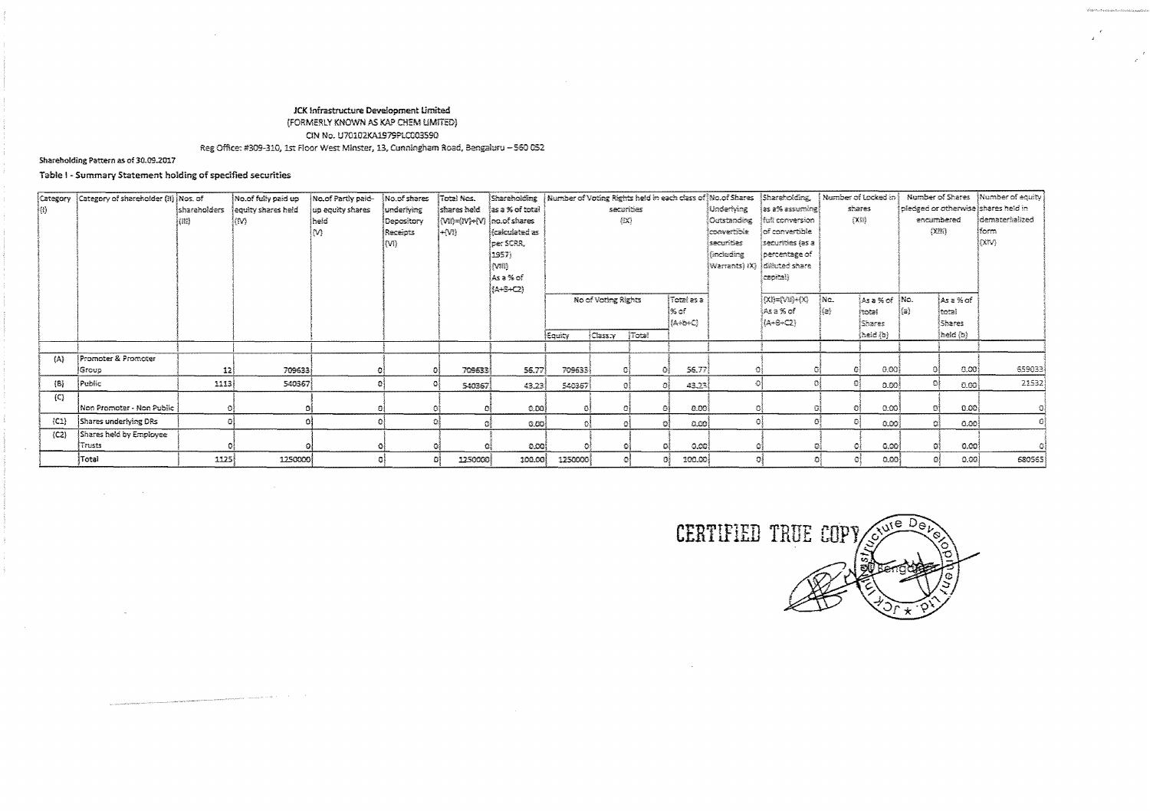# JCK Infrastructure Development Limited (FORMERLY KNOWN AS KAP CHEM LIMITED) CIN No. U70102KA1979PLC003590 Reg Office: #309-310, 1st Floor West Minster, 13, Cunningham Road, Bengaluru - 560 052

### Shareholding Pattern as of 30.09.2017

## Table I - Summary Statement holding of specified securities

 $\label{eq:constr} \text{superspace of the two elements, and the two elements of } \mathcal{P} \text{ and } \mathcal{P} \text{ and } \mathcal{P} \text{ and } \mathcal{P} \text{ are } \mathcal{P} \text{ and } \mathcal{P} \text{ and } \mathcal{P} \text{ are } \mathcal{P} \text{ and } \mathcal{P} \text{ and } \mathcal{P} \text{ are } \mathcal{P} \text{ and } \mathcal{P} \text{ are } \mathcal{P} \text{ and } \mathcal{P} \text{ are } \mathcal{P} \text{ and } \mathcal{P} \text{ are } \mathcal{P} \text{ and } \mathcal{P} \text$ 

| {Category           | Category of shareholder (ii) Mos. of |              | No.of fully paid up | No.of Partly paid- | No.of shares | Total Nos.                   |                  |                                   |           |       |             |              | Shareholding   Number of Voting Rights held in each class of Mo.of Shares   Shareholding, |        | Namber of Locked in |                                     |          | Number of Shares Mumber of equity |
|---------------------|--------------------------------------|--------------|---------------------|--------------------|--------------|------------------------------|------------------|-----------------------------------|-----------|-------|-------------|--------------|-------------------------------------------------------------------------------------------|--------|---------------------|-------------------------------------|----------|-----------------------------------|
| ∤Ð.                 |                                      | shareholders | equity shares held  | up equity shares   | underlying   | <b>Íshares held</b>          | las a % of total |                                   | securibes |       |             | Underlying   | (as a% assuming)                                                                          | shares |                     | pledged or otherwise shares held in |          |                                   |
|                     |                                      | (11)         | (M)                 | held               | Depository   | {Vi!)={IV}÷{V} {no.of shares |                  | 摄影                                |           |       |             | Outstanding  | ituti conversion                                                                          | 行用     |                     | encumbered                          |          | Idematerialized                   |
|                     |                                      |              |                     | M)                 | Receipts     | {÷{V!}                       | (calculated as   |                                   |           |       |             | lconvertible | of convertible                                                                            |        |                     | OCM3                                |          | !form                             |
|                     |                                      |              |                     |                    | l(VI)        |                              | lper SCRR.       |                                   |           |       |             | securities   | securities (as a                                                                          |        |                     |                                     |          | ioan).                            |
|                     |                                      |              |                     |                    |              |                              | 1957)            |                                   |           |       |             | faxtuding    | percentage of                                                                             |        |                     |                                     |          |                                   |
|                     |                                      |              |                     |                    |              |                              | (VIII)           |                                   |           |       |             |              | Warrants) IX) dilluted share                                                              |        |                     |                                     |          |                                   |
|                     |                                      |              |                     |                    |              |                              | iAsa‰of          |                                   |           |       |             |              | capital)                                                                                  |        |                     |                                     |          |                                   |
|                     |                                      |              |                     |                    |              |                              | (A+S+C2)         |                                   |           |       |             |              |                                                                                           |        |                     |                                     |          |                                   |
|                     |                                      |              |                     |                    |              |                              |                  | Total as a<br>No of Voting Rights |           |       |             |              | $(\chi p = (\chi p) + (\chi)$                                                             | ∤Nα.   | As a % of No.       |                                     | ÍAsa%o≴  |                                   |
|                     |                                      |              |                     |                    |              |                              |                  | i% of ∶                           |           |       |             |              | lAsa% of                                                                                  | 热味     | <b>Itotal</b>       | {{a}                                | İtotal   |                                   |
|                     |                                      |              |                     |                    |              |                              |                  |                                   |           |       | {A÷b+C}     |              | $(A+6+C2)$                                                                                |        | Shares              |                                     | Shares   |                                   |
|                     |                                      |              |                     |                    |              |                              |                  | ∤Εφυίτγ                           | Class:Y   | Total |             |              |                                                                                           |        | (heid (b)           |                                     | (held (b |                                   |
|                     |                                      |              |                     |                    |              |                              |                  |                                   |           |       |             |              |                                                                                           |        |                     |                                     |          |                                   |
| $\langle A \rangle$ | Promoter & Promoter                  |              |                     |                    |              |                              |                  |                                   |           |       |             |              |                                                                                           |        |                     |                                     |          |                                   |
|                     | Group                                | 12           | 709633              |                    |              | 709633                       | 56.77            | 709633                            | ο         |       | 56.77       |              |                                                                                           |        | 0.00<br>۵l          |                                     | [0.00]   | 659033                            |
| $\{B\}$             | Public                               | 1113         | 540367              |                    |              | 540367                       | 43.23            | 546357                            | G.        |       | 43.23<br>文字 |              |                                                                                           |        | Đ.<br>0.00          |                                     | 0.00     | 21532                             |
| (C)                 |                                      |              |                     |                    |              |                              |                  |                                   |           |       |             |              |                                                                                           |        |                     |                                     |          |                                   |
|                     | İNon Promoter - Non Public I         |              |                     |                    |              |                              | 0.00             | $\Omega$                          |           |       | 0.00        |              |                                                                                           |        | 0.001               |                                     | 0.00     |                                   |
| $\{C1\}$            | Shares underlying DRs                |              |                     |                    |              |                              | -0.00 l          |                                   | 진종        |       | -0.00}<br>森 |              |                                                                                           |        | ĐÃ<br>0.00          |                                     | -0.00 }  |                                   |
| ${C2}$              | Shares held by Employee              |              |                     |                    |              |                              |                  |                                   |           |       |             |              |                                                                                           |        |                     |                                     |          |                                   |
|                     | Trusts                               |              |                     |                    |              |                              | -0.00)           |                                   |           |       | -0.00)      |              |                                                                                           |        | 0.00                |                                     | -0.00    |                                   |
|                     | Total                                | 1125         | 1250000             |                    |              | 1250000                      | 100.00           | 1250000                           | O.        |       | 100.00<br>n |              |                                                                                           |        | 0.00                |                                     | 0.00     | 680565                            |

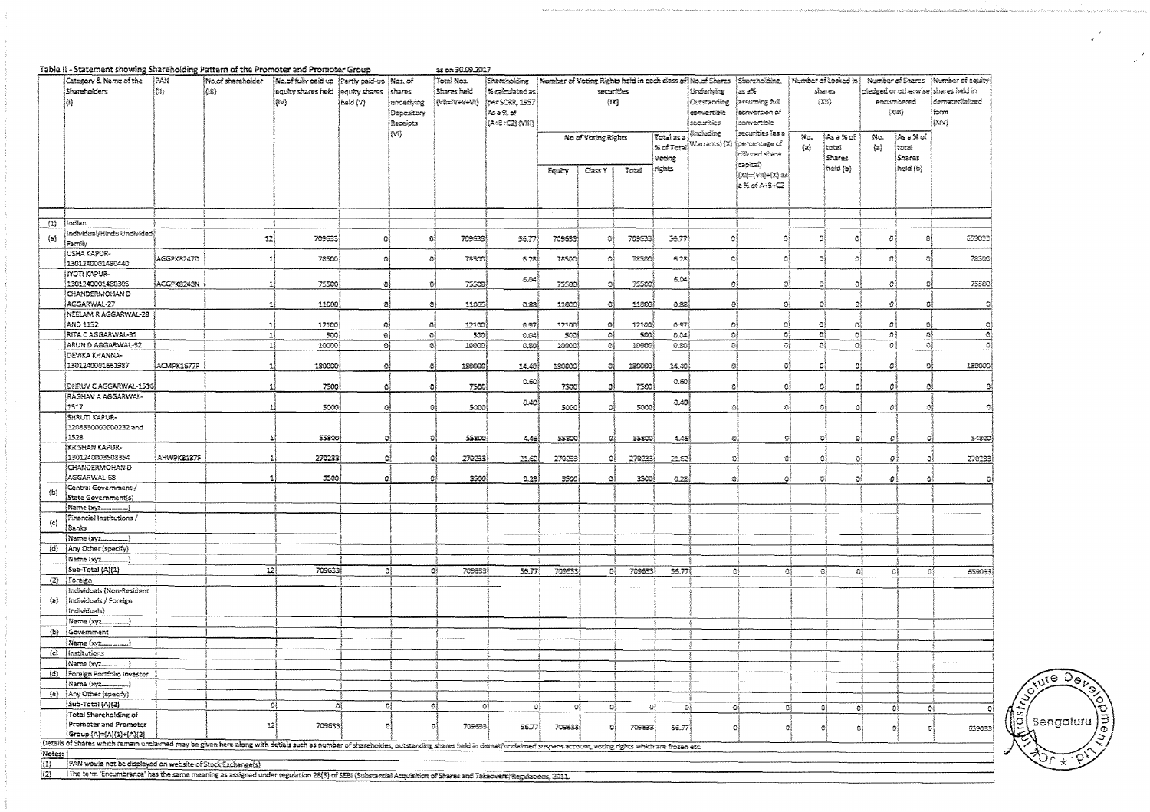|                     | Table II - Statement showing Shareholding Pattern of the Promoter and Promoter Group                                                                                                                         |            |                   |                                                |                       |                  | as on 30.09.2017 |                                            |        |                     |                             |            |                                                            |                                        |              |                     |                |                           |                                      |
|---------------------|--------------------------------------------------------------------------------------------------------------------------------------------------------------------------------------------------------------|------------|-------------------|------------------------------------------------|-----------------------|------------------|------------------|--------------------------------------------|--------|---------------------|-----------------------------|------------|------------------------------------------------------------|----------------------------------------|--------------|---------------------|----------------|---------------------------|--------------------------------------|
|                     | Category & Name of the                                                                                                                                                                                       | įpan       | Wo.of shareholder | No.of fully paid up   Partly paid-up   Nos. of |                       |                  | Total Nos.       | Startisolding                              |        |                     |                             |            | Number of Voting Rights held in each class of Mo.of Shares | Simeraholding,                         |              | Number of Locked in |                |                           | Number of Shares   Number of equity  |
|                     | Shareholders                                                                                                                                                                                                 | ∤¦m}       | (an)              | equity shares held                             | equity shares  shares |                  | Shares held      | $\left\{ \approx$ calculated as $\right\}$ |        | securities          |                             |            | Underlying                                                 | as 2%                                  |              | shares              |                |                           | piedged or otherwise) shares held in |
|                     | M.                                                                                                                                                                                                           |            |                   | (IV)                                           | held (V)              | underlying       | (W=W+V+VI)       | per SCRR, 1957)                            |        | 汉                   |                             |            | Outstanding                                                | assuming full                          |              | (XX)                |                | encombered                | dematerialized                       |
|                     |                                                                                                                                                                                                              |            |                   |                                                |                       | Depository       |                  | Asa % of                                   |        |                     |                             |            | ecoverdale                                                 | i canversion of                        |              |                     | 次班             | ma                        |                                      |
|                     |                                                                                                                                                                                                              |            |                   |                                                |                       | Receipts         |                  | (A+3+C2) (VIII)                            |        |                     |                             |            | securities                                                 | convertible                            |              |                     |                |                           | (XIV)                                |
|                     |                                                                                                                                                                                                              |            |                   |                                                |                       | (VI)             |                  |                                            |        |                     |                             |            | (including                                                 | securides las a                        |              |                     |                |                           |                                      |
|                     |                                                                                                                                                                                                              |            |                   |                                                |                       |                  |                  |                                            |        | No of Voting Rights |                             | Total as a |                                                            |                                        | No.          | As a % of           | No.            | ∮Asa%of                   |                                      |
|                     |                                                                                                                                                                                                              |            |                   |                                                |                       |                  |                  |                                            |        |                     |                             |            |                                                            | S of Total Warrants) (X) oercentage of | $\{x\}$      | total               | $\{a\}$        | total                     |                                      |
|                     |                                                                                                                                                                                                              |            |                   |                                                |                       |                  |                  |                                            |        |                     |                             | Voting     |                                                            | diffuted share                         |              | Shares              |                | <b>Shares</b>             |                                      |
|                     |                                                                                                                                                                                                              |            |                   |                                                |                       |                  |                  |                                            |        |                     |                             | rights     |                                                            | Capitali                               |              | beid (b)            |                | ිස්ස් (ර්)                |                                      |
|                     |                                                                                                                                                                                                              |            |                   |                                                |                       |                  |                  |                                            | Equity | Class <sup>y</sup>  | Total                       |            |                                                            | 00}={VR}+00} as}                       |              |                     |                |                           |                                      |
|                     |                                                                                                                                                                                                              |            |                   |                                                |                       |                  |                  |                                            |        |                     |                             |            |                                                            | a % of A+8+C2                          |              |                     |                |                           |                                      |
|                     |                                                                                                                                                                                                              |            |                   |                                                |                       |                  |                  |                                            |        |                     |                             |            |                                                            |                                        |              |                     |                |                           |                                      |
|                     |                                                                                                                                                                                                              |            |                   |                                                |                       |                  |                  |                                            |        |                     |                             |            |                                                            |                                        |              |                     |                |                           |                                      |
|                     |                                                                                                                                                                                                              |            |                   |                                                |                       |                  |                  |                                            |        |                     |                             |            |                                                            |                                        |              |                     |                |                           |                                      |
|                     | (1) Indian                                                                                                                                                                                                   |            |                   |                                                |                       |                  |                  |                                            |        |                     |                             |            |                                                            |                                        |              |                     |                |                           |                                      |
|                     |                                                                                                                                                                                                              |            |                   |                                                |                       |                  |                  |                                            |        |                     |                             |            |                                                            |                                        |              |                     |                |                           |                                      |
| $\{a\}$             | Individual/Hindu Undivided)                                                                                                                                                                                  |            | 12                | 709633                                         | σļ                    | ΩÎ               | 709533           | 56.77                                      | 709653 | -91                 | 709533                      | 56.77      | o{                                                         | -9                                     | 23           | -e j                | ø,             | -GŞ                       | 659033                               |
|                     | Family                                                                                                                                                                                                       |            |                   |                                                |                       |                  |                  |                                            |        |                     |                             |            |                                                            |                                        |              |                     |                |                           |                                      |
|                     | USHA KAPUR-                                                                                                                                                                                                  | AGGPK8247D | $\mathbf{1}$      | 78500                                          | οĮ                    | $\mathbf{O}_i^2$ | 78500            | 5.28                                       | 78500  | ್ನ                  | 72500                       | 5.28       | GŜ,                                                        | -ol                                    | Ø.           | ۵l                  | $v$ :          | $\circ$                   | 78500                                |
|                     | 1301240001480440                                                                                                                                                                                             |            |                   |                                                |                       |                  |                  |                                            |        |                     |                             |            |                                                            |                                        |              |                     |                |                           |                                      |
|                     | inoti kapur-                                                                                                                                                                                                 |            |                   |                                                |                       |                  |                  |                                            |        |                     |                             |            |                                                            |                                        |              |                     |                |                           |                                      |
|                     | 1301240001480305                                                                                                                                                                                             | AGGPK8248N | 1                 | 75500                                          | -0)                   | ÐĮ               | 75500            | 5.04                                       | 75500  | ΒÎ                  | 75500)                      | 5.04       | ĐÎ                                                         | -al                                    | O.           | -9)                 | Ø,             | O.                        | 75500                                |
|                     | CHANDERMOHAN D                                                                                                                                                                                               |            |                   |                                                |                       |                  |                  |                                            |        |                     |                             |            |                                                            |                                        |              |                     |                |                           |                                      |
|                     | AGGARWAL-27                                                                                                                                                                                                  |            | 11                | 11000                                          | o)                    | ĐÎ               | 11000            | 0.83                                       | 11000  | $\mathbb{C}^2$      | 11000)                      | 0.88       | -91                                                        | ٥Î                                     | Đ.           | $\mathcal{G}$       | Đ)             | $\Omega$                  | 화                                    |
|                     | NEELAM R AGGARWAL-28                                                                                                                                                                                         |            |                   |                                                |                       |                  |                  |                                            |        |                     |                             |            |                                                            |                                        |              |                     |                |                           |                                      |
|                     |                                                                                                                                                                                                              |            |                   |                                                |                       |                  |                  |                                            |        |                     |                             |            |                                                            |                                        |              |                     |                |                           |                                      |
|                     | AND 1152                                                                                                                                                                                                     |            | 1                 | 12100                                          | G.                    | O)               | 12100            | 0.97                                       | 12100  | o)                  | 12100}                      | 0.97       | ĐÎ                                                         | σj                                     | $\Delta$     | $\circ$             | O              | ۰                         | Ð                                    |
|                     | RITA CAGGARWAL-31                                                                                                                                                                                            |            | 11                | 500                                            | ol.                   | ĐÌ               | SOO!             | 0.04                                       | scoi   | Q)                  | SOO!                        | 0.04       | ΰł                                                         | $\mathbb{C}^1_+$                       | $\Omega^k_t$ | 'O{                 | эì             | -O)                       | $\mathbf{0}$                         |
|                     | ARUN D AGGARWAL-32                                                                                                                                                                                           |            | -11               | 10000                                          | $\Omega$              | Oł               | 10000            | 0.80                                       | 10000) | Đ)                  | 1.0000}                     | 0.30       | зĮ                                                         | $\mathcal{O}^1_0$                      | -93          | -G)                 | Ðļ             | $\overline{\mathfrak{O}}$ | -C)                                  |
|                     | DEVIKA KHANNA-                                                                                                                                                                                               |            |                   |                                                |                       |                  |                  |                                            |        |                     |                             |            |                                                            |                                        |              |                     |                |                           |                                      |
|                     | 1301240001661987                                                                                                                                                                                             | ACMPK1677P | -11               | 180000                                         | оl                    | ां               | 180000           | 14.40                                      | 180000 | GÎ.                 | 180000                      | 24.40)     | ٥ł                                                         | -al                                    | ø            | $\alpha$            | ø              | οi                        | 180000                               |
|                     |                                                                                                                                                                                                              |            |                   |                                                |                       |                  |                  |                                            |        |                     |                             |            |                                                            |                                        |              |                     |                |                           |                                      |
|                     |                                                                                                                                                                                                              |            |                   |                                                |                       |                  |                  | 0.50                                       |        |                     |                             | 0.60       |                                                            | Q.                                     | C)           |                     |                | ٥                         |                                      |
|                     | DHRUV C AGGARWAL-1516                                                                                                                                                                                        |            |                   | 7500                                           | O.                    | ା                | 7500             |                                            | 7500   | O}                  | 7500                        |            | C)                                                         |                                        |              | a                   | οi             |                           | -01                                  |
|                     | RAGHAV A AGGARWAL-                                                                                                                                                                                           |            |                   |                                                |                       |                  |                  | 0.40                                       |        |                     |                             | -0.40      |                                                            |                                        |              |                     |                |                           |                                      |
|                     | 1517                                                                                                                                                                                                         |            | ٩                 | 5000                                           | οĮ                    | Đ,               | 5000             |                                            | 5000   | O)                  | 5300                        |            | ĐĮ                                                         | -OÎ                                    | GI           | $\Omega$            | ٥ļ             | ٥                         | 력                                    |
|                     | SHRUTI KAPUR-                                                                                                                                                                                                |            |                   |                                                |                       |                  |                  |                                            |        |                     |                             |            |                                                            |                                        |              |                     |                |                           |                                      |
|                     | 1208330000000232 and                                                                                                                                                                                         |            |                   |                                                |                       |                  |                  |                                            |        |                     |                             |            |                                                            |                                        |              |                     |                |                           |                                      |
|                     | 1528                                                                                                                                                                                                         |            |                   | 55800                                          | ٥                     | -61              | 55800            | 4.46                                       | 55800  | G)                  | 55800                       | 4.45       | Đ,                                                         | -oj                                    |              | O)<br>٥             | $\mathcal{L}$  | ٥                         | 54820                                |
|                     | <b>KRISHAN KAPUR-</b>                                                                                                                                                                                        |            |                   |                                                |                       |                  |                  |                                            |        |                     |                             |            |                                                            |                                        |              |                     |                |                           |                                      |
|                     | 1301240003508354                                                                                                                                                                                             | AHWPK8187F |                   | 270233                                         | Đ.                    | -91              | 270233           | 21.62                                      | 270233 | ol                  | 270233                      | 21.62      | 0Ì                                                         | -ci                                    |              | ٥l<br>ĐÎ            | Đ,             | Δł                        | 270233                               |
|                     | CHANDERMOHAN D                                                                                                                                                                                               |            |                   |                                                |                       |                  |                  |                                            |        |                     |                             |            |                                                            |                                        |              |                     |                |                           |                                      |
|                     |                                                                                                                                                                                                              |            |                   |                                                |                       |                  |                  |                                            |        |                     |                             |            |                                                            |                                        |              |                     |                |                           |                                      |
|                     | AGGARWAL-58                                                                                                                                                                                                  |            |                   | 3500                                           | O)                    | $\mathbf{G}$     | 3500)            | 0.23                                       | 3500   | ٥l                  | 3500                        | 0.28       | -aj                                                        | -98                                    | ŋ,           | ō                   | $\pmb{\sigma}$ | $\Omega$                  | €                                    |
| (b)                 | Central Government /                                                                                                                                                                                         |            |                   |                                                |                       |                  |                  |                                            |        |                     |                             |            |                                                            |                                        |              |                     |                |                           |                                      |
|                     | State Government(s)                                                                                                                                                                                          |            |                   |                                                |                       |                  |                  |                                            |        |                     |                             |            |                                                            |                                        |              |                     |                |                           |                                      |
|                     | Name (xyz                                                                                                                                                                                                    |            |                   |                                                |                       |                  |                  |                                            |        |                     |                             |            |                                                            |                                        |              |                     |                |                           |                                      |
|                     | Financial Institutions /                                                                                                                                                                                     |            |                   |                                                |                       |                  |                  |                                            |        |                     |                             |            |                                                            |                                        |              |                     |                |                           |                                      |
| $\langle c \rangle$ | Banks                                                                                                                                                                                                        |            |                   |                                                |                       |                  |                  |                                            |        |                     |                             |            |                                                            |                                        |              |                     |                |                           |                                      |
|                     | Name (xyz                                                                                                                                                                                                    |            |                   |                                                |                       |                  |                  |                                            |        |                     |                             |            |                                                            |                                        |              |                     |                |                           |                                      |
|                     | (d)   Any Other (specify)                                                                                                                                                                                    |            |                   |                                                |                       |                  |                  |                                            |        |                     |                             |            |                                                            |                                        |              |                     |                |                           |                                      |
|                     |                                                                                                                                                                                                              |            |                   |                                                |                       |                  |                  |                                            |        |                     |                             |            |                                                            |                                        |              |                     |                |                           |                                      |
|                     | Name (xyz                                                                                                                                                                                                    |            |                   |                                                |                       |                  |                  |                                            |        |                     |                             |            |                                                            |                                        |              |                     |                |                           |                                      |
|                     | Sub-Total (A)(1)                                                                                                                                                                                             |            | 22                | 709633                                         | 移                     | Đ,               | 709533           | 55.77                                      | 709633 | Oğ                  | 709533                      | 55.77      | ್ಯ                                                         | ۵į                                     |              | ĐÎ<br>ĐÎ            |                | ٥Į<br>-ol                 | 659033                               |
|                     | (2)   Foreign                                                                                                                                                                                                |            |                   |                                                |                       |                  |                  |                                            |        |                     |                             |            |                                                            |                                        |              |                     |                |                           |                                      |
|                     | ndividuals (Non-Resident                                                                                                                                                                                     |            |                   |                                                |                       |                  |                  |                                            |        |                     |                             |            |                                                            |                                        |              |                     |                |                           |                                      |
| (a)                 | Individuals / Foreign                                                                                                                                                                                        |            |                   |                                                |                       |                  |                  |                                            |        |                     |                             |            |                                                            |                                        |              |                     |                |                           |                                      |
|                     | Individuals)                                                                                                                                                                                                 |            |                   |                                                |                       |                  |                  |                                            |        |                     |                             |            |                                                            |                                        |              |                     |                |                           |                                      |
|                     | Name (xyz                                                                                                                                                                                                    |            |                   |                                                |                       |                  |                  |                                            |        |                     |                             |            |                                                            |                                        |              |                     |                |                           |                                      |
|                     |                                                                                                                                                                                                              |            |                   |                                                |                       |                  |                  |                                            |        |                     |                             |            |                                                            |                                        |              |                     |                |                           |                                      |
| $\{b\}$             | Government                                                                                                                                                                                                   |            |                   |                                                |                       |                  |                  |                                            |        |                     |                             |            |                                                            |                                        |              |                     |                |                           |                                      |
|                     | Name (xyz                                                                                                                                                                                                    |            |                   |                                                |                       |                  |                  |                                            |        |                     |                             |            |                                                            |                                        |              |                     |                |                           |                                      |
| $\{c\}$             | Institutions                                                                                                                                                                                                 |            |                   |                                                |                       |                  |                  |                                            |        |                     |                             |            |                                                            |                                        |              |                     |                |                           |                                      |
|                     |                                                                                                                                                                                                              |            |                   |                                                |                       |                  |                  |                                            |        |                     |                             |            |                                                            |                                        |              |                     |                |                           |                                      |
|                     | (d) Foreign Portfolio Investor                                                                                                                                                                               |            |                   |                                                |                       |                  |                  |                                            |        |                     |                             |            |                                                            |                                        |              |                     |                |                           |                                      |
|                     | Name (xyz<br>3. 3                                                                                                                                                                                            |            |                   |                                                |                       |                  |                  |                                            |        |                     |                             |            |                                                            |                                        |              |                     |                |                           |                                      |
|                     | (e)   Any Other (specify)                                                                                                                                                                                    |            |                   |                                                |                       |                  |                  |                                            |        |                     |                             |            |                                                            |                                        |              |                     |                |                           |                                      |
|                     |                                                                                                                                                                                                              |            |                   |                                                |                       |                  |                  |                                            |        |                     |                             |            |                                                            |                                        |              |                     |                |                           |                                      |
|                     | Sub-Total (A)(2)                                                                                                                                                                                             |            |                   | ٥l<br>οį                                       | -D)                   | -9]              | -O}              | -91                                        | O}     | đ,                  | $\mathcal{P}^{\mathcal{S}}$ | ۵ì         | $\Omega_1$                                                 |                                        | G}           | 여<br>장              | Đ              | ĐÌ.                       | o                                    |
|                     | Total Shareholding of                                                                                                                                                                                        |            |                   |                                                |                       |                  |                  |                                            |        |                     |                             |            |                                                            |                                        |              |                     |                |                           |                                      |
|                     | Promoter and Promoter                                                                                                                                                                                        |            | 12)               | 709633                                         |                       | ō                | 709533           | 56.77                                      | 709633 | O.                  | 709633                      | 56.77      | O                                                          | ۰                                      |              | ٥<br>C.             | D,             | $\circ$                   | 659033)                              |
|                     | Group (A)=(A)(1)+(A)(2)                                                                                                                                                                                      |            |                   |                                                |                       |                  |                  |                                            |        |                     |                             |            |                                                            |                                        |              |                     |                |                           |                                      |
|                     | Details of Shares which remain unclaimed may be given here along with detials such as number of shareholdes, outstanding shares held in demat/unclaimed suspens account, voting rights which are froren etc. |            |                   |                                                |                       |                  |                  |                                            |        |                     |                             |            |                                                            |                                        |              |                     |                |                           |                                      |
| Notes:              |                                                                                                                                                                                                              |            |                   |                                                |                       |                  |                  |                                            |        |                     |                             |            |                                                            |                                        |              |                     |                |                           |                                      |
| (1)                 | PAN would not be displayed on website of Stock Exchange(s)                                                                                                                                                   |            |                   |                                                |                       |                  |                  |                                            |        |                     |                             |            |                                                            |                                        |              |                     |                |                           |                                      |
| ł٦١                 | The term "Forumhranne" has the came meaning to any                                                                                                                                                           |            |                   | das sam dation 70/21 af error to               |                       |                  |                  |                                            |        |                     |                             |            |                                                            |                                        |              |                     |                |                           |                                      |



 $\mathcal{L}$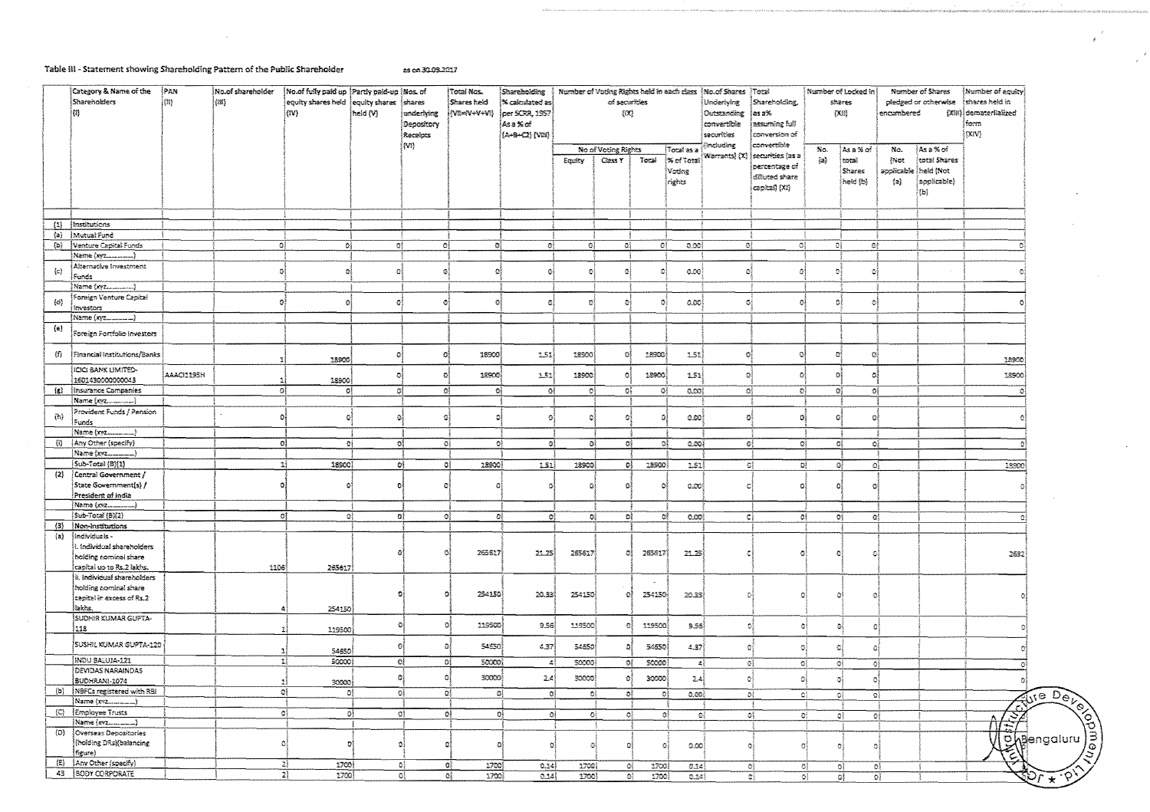#### Table III - Statement showing Shareholding Pattern of the Public Shareholder

as on 30.09.2017

| Category & Name of the<br>Shareholders<br>$\{\mathbb{I}\}$                        | PAN<br>$\{1\}$ | No of shareholder<br>(131) | No of fully paid up   Partly paid-up   Nos. of<br>equity shares held equity shares shares<br>ស្រា | held (V) | underlying<br>Depository<br>Receipts | Total Nos.<br><b>Shares held</b><br>{\m=v+v+vn} | Shareholding<br>% calculated as<br>per SCRR, 1957<br>ÍAsa%rof<br>(A+8+C2) {VIII} | Number of Voting Rights held in each class   No. of Shares   Total<br>of securities<br>(EC) |                        |         | Underlying<br>Outstanding<br>convertible<br>securities | Shareholding,<br>∤as a%<br>assuming full<br>conversion of |                                             | Number of Locked in<br>shares<br>{XII} |                        | Number of Shares<br>pledged or otherwise<br>encumbered | Mumber of equity<br>shares held in<br>(XIII) dematerlialized<br>ferm<br>(X V) |        |                                                 |
|-----------------------------------------------------------------------------------|----------------|----------------------------|---------------------------------------------------------------------------------------------------|----------|--------------------------------------|-------------------------------------------------|----------------------------------------------------------------------------------|---------------------------------------------------------------------------------------------|------------------------|---------|--------------------------------------------------------|-----------------------------------------------------------|---------------------------------------------|----------------------------------------|------------------------|--------------------------------------------------------|-------------------------------------------------------------------------------|--------|-------------------------------------------------|
|                                                                                   |                |                            |                                                                                                   |          | (M)                                  |                                                 |                                                                                  |                                                                                             | No of Voting Rights    |         | Total as a                                             | (Including                                                | convertible                                 | No.                                    | As a % of              | N <sub>C</sub>                                         | ∤Asa%of                                                                       |        |                                                 |
|                                                                                   |                |                            |                                                                                                   |          |                                      |                                                 |                                                                                  | Equity                                                                                      | Class Y                | Total   | ∫% of Total)                                           | Warrants) (X)                                             | securities (as a<br>percentage of           | $\{a\}$                                | total                  | Net                                                    | total Shares                                                                  |        |                                                 |
|                                                                                   |                |                            |                                                                                                   |          |                                      |                                                 |                                                                                  |                                                                                             |                        |         | Votërag<br>rights                                      |                                                           | diffuted share                              |                                        | Shares<br>[held {b}    | ${a}$                                                  | applicable   held (Not<br>applicable)                                         |        |                                                 |
|                                                                                   |                |                            |                                                                                                   |          |                                      |                                                 |                                                                                  |                                                                                             |                        |         |                                                        |                                                           | (XI) (ksfiqes                               |                                        |                        |                                                        | (b)                                                                           |        |                                                 |
|                                                                                   |                |                            |                                                                                                   |          |                                      |                                                 |                                                                                  |                                                                                             |                        |         |                                                        |                                                           |                                             |                                        |                        |                                                        |                                                                               |        |                                                 |
| (1)<br>Institutions                                                               |                |                            |                                                                                                   |          |                                      |                                                 |                                                                                  |                                                                                             |                        |         |                                                        |                                                           |                                             |                                        |                        |                                                        |                                                                               |        |                                                 |
| (a) Mutual Fund                                                                   |                |                            |                                                                                                   |          |                                      |                                                 |                                                                                  |                                                                                             |                        |         |                                                        |                                                           |                                             |                                        |                        |                                                        |                                                                               |        |                                                 |
| (b) Venture Capital Funds                                                         |                |                            | ΩÎ<br>٥Į                                                                                          | оś       | -c1                                  | Đ,                                              | 라                                                                                | 이                                                                                           | ٥l                     | -DI     | 0.00\$                                                 | 133                                                       | ₿ţ.                                         |                                        | ाई<br>ĐÌ.              |                                                        |                                                                               |        |                                                 |
| Alternative Investment                                                            |                |                            |                                                                                                   |          |                                      |                                                 |                                                                                  |                                                                                             |                        |         |                                                        |                                                           |                                             |                                        |                        |                                                        |                                                                               |        |                                                 |
| $\{C\}$<br>Funds                                                                  |                |                            | ol                                                                                                | Đ)       | $\circ$                              | ĐĪ                                              | O.                                                                               |                                                                                             | ٥ĺ                     | Ō       | 0.00                                                   | ٥Î                                                        | o                                           |                                        | $\mathcal{O}$          |                                                        |                                                                               |        |                                                 |
| Name (xyz)<br>Foreign Venture Capital                                             |                |                            |                                                                                                   |          |                                      |                                                 |                                                                                  |                                                                                             |                        |         |                                                        |                                                           |                                             |                                        |                        |                                                        |                                                                               |        |                                                 |
| (d)<br>investors                                                                  |                |                            | O.                                                                                                | - Si     | Ð                                    | $\Omega$                                        | 화                                                                                |                                                                                             | ē                      | O,      | -0.00}                                                 | G)                                                        | Ó                                           | Ō.                                     |                        |                                                        |                                                                               |        |                                                 |
| Name (xyz                                                                         |                |                            |                                                                                                   |          |                                      |                                                 |                                                                                  |                                                                                             |                        |         |                                                        |                                                           |                                             |                                        |                        |                                                        |                                                                               |        |                                                 |
| (e)<br>Foreign Fortfolio Investors                                                |                |                            |                                                                                                   |          |                                      |                                                 |                                                                                  |                                                                                             |                        |         |                                                        |                                                           |                                             |                                        |                        |                                                        |                                                                               |        |                                                 |
| $\{\bar{v}\}$<br>Financial Institutions/Banks                                     |                |                            | 18900                                                                                             | ٥Į       | -C)                                  | 18900)                                          | 2.51                                                                             | 18900                                                                                       | GÎ                     | 18940   | 1.52                                                   | $\mathbb{O}^2_2$                                          | $\circ$                                     |                                        | ØÎ<br>-C)              |                                                        |                                                                               | 18900  |                                                 |
| ICICI BANK LIMITED-<br>1601430000000043                                           | AAAQ119SH      |                            | 18900<br>-11                                                                                      | -oš      | -ol                                  | 18900                                           | 1.51                                                                             | 12900                                                                                       | O.                     | 18900   | 1.51                                                   | ٥İ                                                        | $\hat{v}$                                   | o                                      | $\Omega$               |                                                        |                                                                               | 18900  |                                                 |
| (g)   Insurance Companies                                                         |                |                            | 0 <br>-ol                                                                                         |          | 더                                    | -ci<br>- 138                                    | Oł                                                                               | -C)                                                                                         | O,                     | -01     | 0.001                                                  |                                                           | ٥ì<br>약                                     |                                        | Đ.<br>GÎ.              |                                                        |                                                                               |        |                                                 |
|                                                                                   |                |                            |                                                                                                   |          |                                      |                                                 |                                                                                  |                                                                                             |                        |         |                                                        |                                                           |                                             |                                        |                        |                                                        |                                                                               |        |                                                 |
| Provident Funds / Pension<br>(h)<br>Funds                                         |                |                            | $\circ$<br>Đ.                                                                                     | -G       | -al                                  | 13                                              | ĐÌ                                                                               |                                                                                             | o,                     | ā       | la pol                                                 | o,                                                        | $\mathbf{B}$                                | Ð                                      |                        |                                                        |                                                                               |        |                                                 |
| Name (xyz)                                                                        |                |                            |                                                                                                   |          |                                      |                                                 |                                                                                  |                                                                                             |                        |         |                                                        |                                                           |                                             |                                        |                        |                                                        |                                                                               |        |                                                 |
| {Any Other (specify)<br>旬<br> Name (xyz                                           |                |                            | GĮ<br>-0ł                                                                                         |          | ರಿಕೆ                                 | -ol                                             | O}<br>-al                                                                        | -OÌ                                                                                         | O)                     | o)      | 0.004                                                  |                                                           | oļ<br>-oi                                   |                                        | -OŠ<br>₫,              |                                                        |                                                                               |        |                                                 |
| Sub-Total (B)(1)                                                                  |                |                            | -11<br>18900                                                                                      |          | 혀                                    | -GÎ<br>18900                                    | 1.51)                                                                            | 18900                                                                                       | -aļ                    | 18900)  | 1.51                                                   |                                                           | $\mathbb{C}^1_+$<br>οį                      |                                        | -O)<br>O}              |                                                        |                                                                               | 13900  |                                                 |
| <i><b>Central Government /</b></i><br>(2)                                         |                |                            |                                                                                                   |          |                                      |                                                 |                                                                                  |                                                                                             |                        |         |                                                        |                                                           |                                             |                                        |                        |                                                        |                                                                               |        |                                                 |
| State Government(s) /<br>President of India                                       |                |                            | O<br>o                                                                                            |          | Ø                                    | o                                               | Вł                                                                               | а                                                                                           | ö                      | Ð       | 0.00                                                   | d                                                         | -G)                                         | f.                                     |                        |                                                        |                                                                               |        |                                                 |
|                                                                                   |                |                            |                                                                                                   |          |                                      |                                                 |                                                                                  |                                                                                             |                        |         |                                                        |                                                           |                                             |                                        |                        |                                                        |                                                                               |        |                                                 |
| Sub-Total (B)(2)                                                                  |                |                            | οţ<br>οł                                                                                          |          | ĐÎ.                                  | ಿ                                               | ĐĮ.<br>$\mathbf{Q}^{\mathrm{B}}_{\mathrm{F}}$                                    | $\mathbf{G}^3_1$                                                                            | G)                     | ٥ŧ      | 0.00                                                   |                                                           | 캭                                           | -01                                    | Đŷ<br>$\mathbf{G}_2^k$ |                                                        |                                                                               |        |                                                 |
| (3)<br>Non-institutions                                                           |                |                            |                                                                                                   |          |                                      |                                                 |                                                                                  |                                                                                             |                        |         |                                                        |                                                           |                                             |                                        |                        |                                                        |                                                                               |        |                                                 |
| $\{a\}$<br>  Individuals -<br>1. Individual shareholders<br>holding nominal share |                |                            |                                                                                                   |          | ۵                                    | 265617<br>O.                                    | 22.25                                                                            | 265617                                                                                      | ØÎ                     | 265617  | 21.25                                                  | 갼                                                         | $\circ$                                     |                                        | n                      |                                                        |                                                                               | 2632   |                                                 |
| capital up to Rs.2 lakhs.                                                         |                | 1106                       | 265617                                                                                            |          |                                      |                                                 |                                                                                  |                                                                                             |                        |         |                                                        |                                                           |                                             |                                        |                        |                                                        |                                                                               |        |                                                 |
| ii. Indivicual shareholders                                                       |                |                            |                                                                                                   |          |                                      |                                                 |                                                                                  |                                                                                             |                        | $\sim$  |                                                        |                                                           |                                             |                                        |                        |                                                        |                                                                               |        |                                                 |
| holding nominal share<br>capital in excess of Rs.2                                |                |                            |                                                                                                   |          | Đ.                                   | 254150<br>$\circ$                               | 20.33                                                                            | 254150                                                                                      | O)                     | 254150) | 20.33                                                  | 더                                                         | Ð                                           |                                        | Ωî<br>Ó                |                                                        |                                                                               |        |                                                 |
| liakhs.                                                                           |                |                            | 254150                                                                                            |          |                                      |                                                 |                                                                                  |                                                                                             |                        |         |                                                        |                                                           |                                             |                                        |                        |                                                        |                                                                               |        |                                                 |
| SUDHIR KUMAR GUPTA-<br>118                                                        |                |                            | 119500<br>1                                                                                       |          | O                                    | $\Omega$<br>119500                              | 9.56)                                                                            | 119500                                                                                      | -53                    | 119500  | 3.56                                                   | $\mathcal{D}_i$                                           |                                             | 회                                      | ٥<br>적                 |                                                        |                                                                               |        |                                                 |
| <b>SUSHIL KUMAR GUPTA-120</b>                                                     |                |                            | 54650<br>1                                                                                        |          | O                                    | 54550<br>$\mathbf{a}$                           | 4,37                                                                             | 54850                                                                                       | Đ,                     | 54650   | 4.37                                                   | -eŝ                                                       | G                                           |                                        | $\Omega$<br>۵          |                                                        |                                                                               |        |                                                 |
| INDU BALUJA-121                                                                   |                |                            | -11<br>50000                                                                                      |          | ٥į                                   | ĐÎ,<br>50000                                    | $\blacktriangle$                                                                 | 50000)                                                                                      | ٥Į                     | SCCCO)  | $\frac{1}{2}$                                          |                                                           | $\mathbb{G}^2_2$<br>-e)                     |                                        | $O\{$                  | 0ł                                                     |                                                                               |        |                                                 |
| <b>DEVIDAS NARAINDAS</b><br>BUDHRANI-1074                                         |                |                            | Ą.<br>30000                                                                                       |          | ø                                    | Ġ<br>30000                                      | 2.4                                                                              | 30000                                                                                       | ø.                     | သောဝါ   | $2.4\%$                                                |                                                           | ٥Î<br>Đ)                                    |                                        | ъ<br>٥                 |                                                        |                                                                               |        |                                                 |
| (b) NBFCs registered with RBI                                                     |                |                            | -at                                                                                               | ٥į       | ΩÎ                                   | οł                                              | -a)<br>ĐÎ                                                                        | O)                                                                                          | ĐÎ.                    | ÐÎ      | a.on)                                                  |                                                           | $\overline{\mathbf{O}}$<br>$\mathbf{C}_i^k$ |                                        | ÐĮ                     | $\overline{\mathbf{c}_i}$                              |                                                                               |        |                                                 |
|                                                                                   |                |                            |                                                                                                   |          |                                      |                                                 |                                                                                  |                                                                                             |                        |         |                                                        |                                                           |                                             |                                        |                        |                                                        |                                                                               |        |                                                 |
| (C) Employee Trusts<br>Name (xvz)                                                 |                |                            | -ol                                                                                               | Đ)       | o)                                   | ٥ŧ                                              | -O)                                                                              | οļ                                                                                          | O}<br>$\mathbf{O}_2^3$ | -al     | -al                                                    |                                                           | $\sigma$                                    | $\mathbf{O}^3$                         | -OŠ                    | οł                                                     |                                                                               |        |                                                 |
| Overseas Depositories<br>(D)                                                      |                |                            |                                                                                                   |          |                                      |                                                 |                                                                                  |                                                                                             |                        |         |                                                        |                                                           |                                             |                                        |                        |                                                        |                                                                               | كخلالا |                                                 |
| holding DRs) (balancing<br>figure)                                                |                |                            | ٥                                                                                                 |          | ٥                                    | $\frac{1}{2}$                                   | G.<br>$\bullet$                                                                  | ۵                                                                                           | 이                      | Đ)      | ಾಯ                                                     |                                                           | Đi                                          |                                        | Đ)<br>Ði               |                                                        |                                                                               |        | Tailor De<br><b>Disengaluru</b>                 |
| (E)<br>Any Other (specify)                                                        |                |                            | 2)<br>2700                                                                                        |          | GĮ                                   | ۵Î<br>1700                                      | 0.24                                                                             | 1700                                                                                        | 僻                      | 1700}   | 0.14                                                   |                                                           | O)                                          | -C)                                    | o)                     | ٥į                                                     |                                                                               |        |                                                 |
| 43   BODY CORPORATE                                                               |                |                            | 21<br>1700                                                                                        |          | ĐÎ.                                  | 1700)<br>Qğ.                                    | 0.14                                                                             | 1700                                                                                        | o.                     | 1700\$  | $0.24_{2}^{4}$                                         |                                                           | -ei                                         | ĐÎ.                                    | ٥Î                     | o)                                                     |                                                                               |        | $\left\langle \phi \right\rangle$<br>$\sqrt{2}$ |

÷,  $\bar{s}$ 

> $\mathcal{A}$  $\mathcal{L}$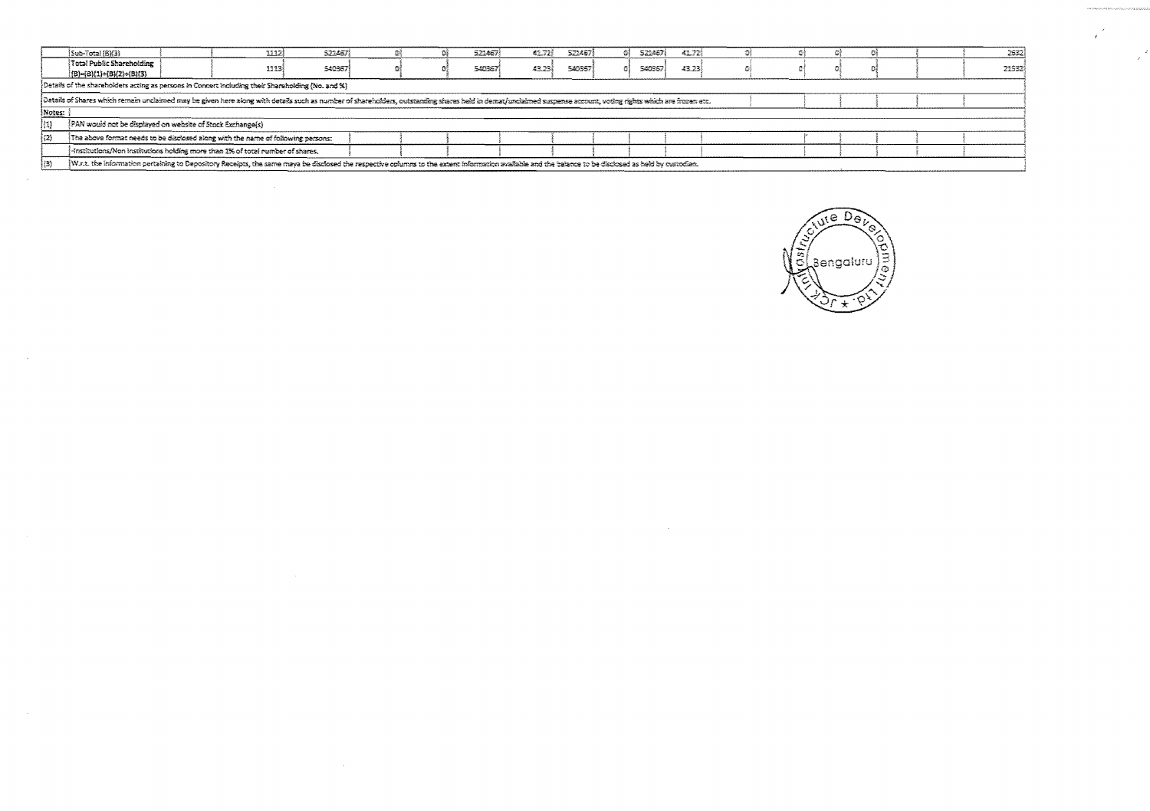|        | Sub-Total (BM3)                                                                                                                                                                                                                                                                                                          | 1312) | 5234679 |  |  | 523467 | 42.728 | 523457 |  | 5214571 | 41.72 |  |  |  |  |  | 2632  |
|--------|--------------------------------------------------------------------------------------------------------------------------------------------------------------------------------------------------------------------------------------------------------------------------------------------------------------------------|-------|---------|--|--|--------|--------|--------|--|---------|-------|--|--|--|--|--|-------|
|        | Total Public Shareholding                                                                                                                                                                                                                                                                                                | 1113  | 540367  |  |  | 540357 | 43.73  | 540367 |  | 540367  | 43.23 |  |  |  |  |  | 21532 |
|        | {B}={B}{1}+{B}(2}+{B}(3}                                                                                                                                                                                                                                                                                                 |       |         |  |  |        |        |        |  |         |       |  |  |  |  |  |       |
|        | Details of the shareholders acting as persons in Concert including their Shareholding (No. and %)                                                                                                                                                                                                                        |       |         |  |  |        |        |        |  |         |       |  |  |  |  |  |       |
|        | Details of Shares which remain unclaimed may be given here along with details such as number of shareholders, cutstanding shares held in demat/unclaimed suspense account, voting rights which are frozen etc.                                                                                                           |       |         |  |  |        |        |        |  |         |       |  |  |  |  |  |       |
| Motes: |                                                                                                                                                                                                                                                                                                                          |       |         |  |  |        |        |        |  |         |       |  |  |  |  |  |       |
| (1)    | PAN would not be displayed on website of Stock Exchange(s)                                                                                                                                                                                                                                                               |       |         |  |  |        |        |        |  |         |       |  |  |  |  |  |       |
| (2)    | The above format needs to be disclosed along with the name of following persons:                                                                                                                                                                                                                                         |       |         |  |  |        |        |        |  |         |       |  |  |  |  |  |       |
|        | -institutions/Non institutions holding more than 1% of total number of shares.                                                                                                                                                                                                                                           |       |         |  |  |        |        |        |  |         |       |  |  |  |  |  |       |
| l (3)  | W.r.t. the information pertaining to Depository Receipts, the same maya be disclosed the respective columns to the extent information available and the balance to be disclosed as held by custodian.<br>the contract of the contract of the contract of the contract of the contract of the contract of the contract of |       |         |  |  |        |        |        |  |         |       |  |  |  |  |  |       |

 $\sim$ 

 $\sim 10^{-1}$ 

 $\sim 10^7$ 

 $\sim$   $\sim$ 

 $\sim$